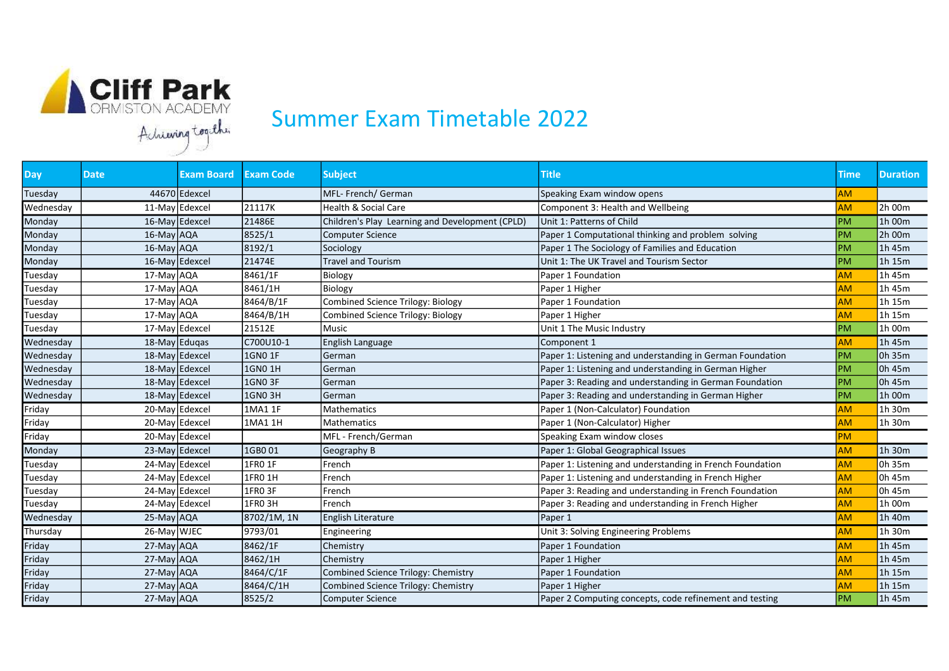

## Summer Exam Timetable 2022

| <b>Day</b> | <b>Date</b>      | <b>Exam Board</b> | <b>Exam Code</b> | <b>Subject</b>                                  | <b>Title</b>                                              | Time      | <b>Duration</b> |
|------------|------------------|-------------------|------------------|-------------------------------------------------|-----------------------------------------------------------|-----------|-----------------|
| Tuesday    |                  | 44670 Edexcel     |                  | MFL- French/ German                             | Speaking Exam window opens                                | <b>AM</b> |                 |
| Wednesday  |                  | 11-May Edexcel    | 21117K           | Health & Social Care                            | Component 3: Health and Wellbeing                         | <b>AM</b> | 2h 00m          |
| Monday     |                  | 16-May Edexcel    | 21486E           | Children's Play Learning and Development (CPLD) | Unit 1: Patterns of Child                                 | <b>PM</b> | 1h 00m          |
| Monday     | 16-May AQA       |                   | 8525/1           | <b>Computer Science</b>                         | Paper 1 Computational thinking and problem solving        | PM        | 2h 00m          |
| Monday     | 16-May AQA       |                   | 8192/1           | Sociology                                       | Paper 1 The Sociology of Families and Education           | PM        | 1h 45m          |
| Monday     |                  | 16-May Edexcel    | 21474E           | <b>Travel and Tourism</b>                       | Unit 1: The UK Travel and Tourism Sector                  | PM        | 1h 15m          |
| Tuesday    | 17-May AQA       |                   | 8461/1F          | Biology                                         | Paper 1 Foundation                                        | <b>AM</b> | 1h 45m          |
| Tuesday    | 17-May AQA       |                   | 8461/1H          | Biology                                         | Paper 1 Higher                                            | <b>AM</b> | 1h 45m          |
| Tuesday    | 17-May AQA       |                   | 8464/B/1F        | <b>Combined Science Trilogy: Biology</b>        | Paper 1 Foundation                                        | <b>AM</b> | 1h 15m          |
| Tuesday    | 17-May AQA       |                   | 8464/B/1H        | Combined Science Trilogy: Biology               | Paper 1 Higher                                            | <b>AM</b> | 1h 15m          |
| Tuesday    |                  | 17-May Edexcel    | 21512E           | Music                                           | Unit 1 The Music Industry                                 | PM        | 1h 00m          |
| Wednesday  | $18$ -May Edugas |                   | C700U10-1        | English Language                                | Component 1                                               | <b>AM</b> | 1h 45m          |
| Wednesday  |                  | 18-May Edexcel    | 1GN0 1F          | German                                          | Paper 1: Listening and understanding in German Foundation | PM        | 0h 35m          |
| Wednesday  |                  | 18-May Edexcel    | 1GN0 1H          | German                                          | Paper 1: Listening and understanding in German Higher     | PM        | 0h 45m          |
| Wednesday  |                  | 18-May Edexcel    | 1GN0 3F          | German                                          | Paper 3: Reading and understanding in German Foundation   | <b>PM</b> | 0h 45m          |
| Wednesday  |                  | 18-May Edexcel    | <b>1GN0 3H</b>   | German                                          | Paper 3: Reading and understanding in German Higher       | PM        | 1h 00m          |
| Friday     |                  | 20-May Edexcel    | 1MA1 1F          | <b>Mathematics</b>                              | Paper 1 (Non-Calculator) Foundation                       | <b>AM</b> | 1h 30m          |
| Friday     |                  | 20-May Edexcel    | 1MA1 1H          | <b>Mathematics</b>                              | Paper 1 (Non-Calculator) Higher                           | <b>AM</b> | 1h 30m          |
| Friday     |                  | $20$ -May Edexcel |                  | MFL - French/German                             | Speaking Exam window closes                               | <b>PM</b> |                 |
| Monday     |                  | 23-May Edexcel    | 1GB001           | Geography B                                     | Paper 1: Global Geographical Issues                       | <b>AM</b> | 1h 30m          |
| Tuesday    |                  | 24-May Edexcel    | 1FR0 1F          | French                                          | Paper 1: Listening and understanding in French Foundation | <b>AM</b> | 0h 35m          |
| Tuesday    |                  | 24-May Edexcel    | 1FR0 1H          | French                                          | Paper 1: Listening and understanding in French Higher     | <b>AM</b> | Oh $45m$        |
| Tuesday    |                  | 24-May Edexcel    | 1FRO 3F          | French                                          | Paper 3: Reading and understanding in French Foundation   | <b>AM</b> | 0h 45m          |
| Tuesday    |                  | 24-May Edexcel    | 1FRO 3H          | French                                          | Paper 3: Reading and understanding in French Higher       | <b>AM</b> | 1h 00m          |
| Wednesday  | 25-May AQA       |                   | 8702/1M, 1N      | English Literature                              | Paper 1                                                   | <b>AM</b> | 1h 40m          |
| Thursday   | 26-May WJEC      |                   | 9793/01          | Engineering                                     | Unit 3: Solving Engineering Problems                      | <b>AM</b> | 1h 30m          |
| Friday     | 27-May AQA       |                   | 8462/1F          | Chemistry                                       | Paper 1 Foundation                                        | <b>AM</b> | 1h 45m          |
| Friday     | 27-May AQA       |                   | 8462/1H          | Chemistry                                       | Paper 1 Higher                                            | <b>AM</b> | 1h 45m          |
| Friday     | 27-May AQA       |                   | 8464/C/1F        | Combined Science Trilogy: Chemistry             | Paper 1 Foundation                                        | <b>AM</b> | 1h 15m          |
| Friday     | 27-May AQA       |                   | 8464/C/1H        | Combined Science Trilogy: Chemistry             | Paper 1 Higher                                            | <b>AM</b> | 1h 15m          |
| Friday     | $27$ -May $AQA$  |                   | 8525/2           | <b>Computer Science</b>                         | Paper 2 Computing concepts, code refinement and testing   | PM        | 1h 45m          |